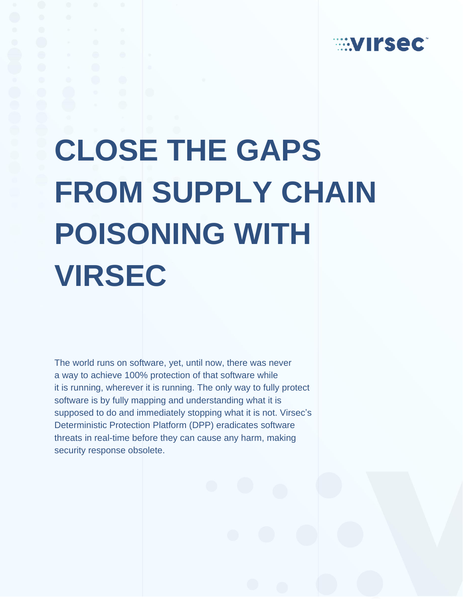

## **CLOSE THE GAPS FROM SUPPLY CHAIN POISONING WITH VIRSEC**

The world runs on software, yet, until now, there was never a way to achieve 100% protection of that software while it is running, wherever it is running. The only way to fully protect software is by fully mapping and understanding what it is supposed to do and immediately stopping what it is not. Virsec's Deterministic Protection Platform (DPP) eradicates software threats in real-time before they can cause any harm, making security response obsolete.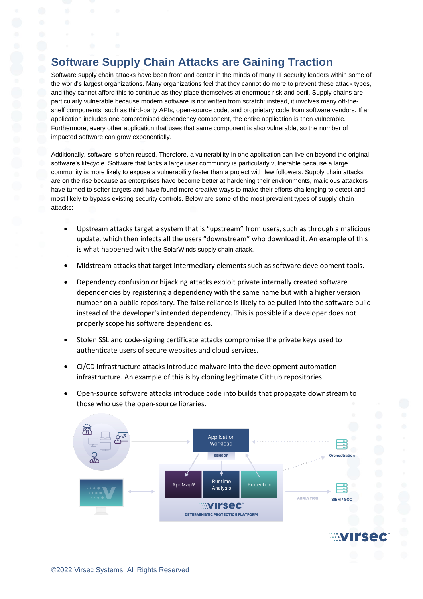## **Software Supply Chain Attacks are Gaining Traction**

Software supply chain attacks have been front and center in the minds of many IT security leaders within some of the world's largest organizations. Many organizations feel that they cannot do more to prevent these attack types, and they cannot afford this to continue as they place themselves at enormous risk and peril. Supply chains are particularly vulnerable because modern software is not written from scratch: instead, it involves many off-theshelf components, such as third-party APIs, open-source code, and proprietary code from software vendors. If an application includes one compromised dependency component, the entire application is then vulnerable. Furthermore, every other application that uses that same component is also vulnerable, so the number of impacted software can grow exponentially.

Additionally, software is often reused. Therefore, a vulnerability in one application can live on beyond the original software's lifecycle. Software that lacks a large user community is particularly vulnerable because a large community is more likely to expose a vulnerability faster than a project with few followers. Supply chain attacks are on the rise because as enterprises have become better at hardening their environments, malicious attackers have turned to softer targets and have found more creative ways to make their efforts challenging to detect and most likely to bypass existing security controls. Below are some of the most prevalent types of supply chain attacks:

- Upstream attacks target a system that is "upstream" from users, such as through a malicious update, which then infects all the users "downstream" who download it. An example of this is what happened with the [Sola](https://www.virsec.com/blog/analyzing-the-solarwinds-kill-chain)rWinds supply chain attack.
- Midstream attacks that target intermediary elements such as software development tools.
- Dependency confusion or hijacking attacks exploit private internally created software dependencies by registering a dependency with the same name but with a higher version number on a public repository. The false reliance is likely to be pulled into the software build instead of the developer's intended dependency. This is possible if a developer does not properly scope his software dependencies.
- Stolen SSL and code-signing certificate attacks compromise the private keys used to authenticate users of secure websites and cloud services.
- CI/CD infrastructure attacks introduce malware into the development automation infrastructure. An example of this is by cloning legitimate GitHub repositories.
- Open-source software attacks introduce code into builds that propagate downstream to those who use the open-source libraries.